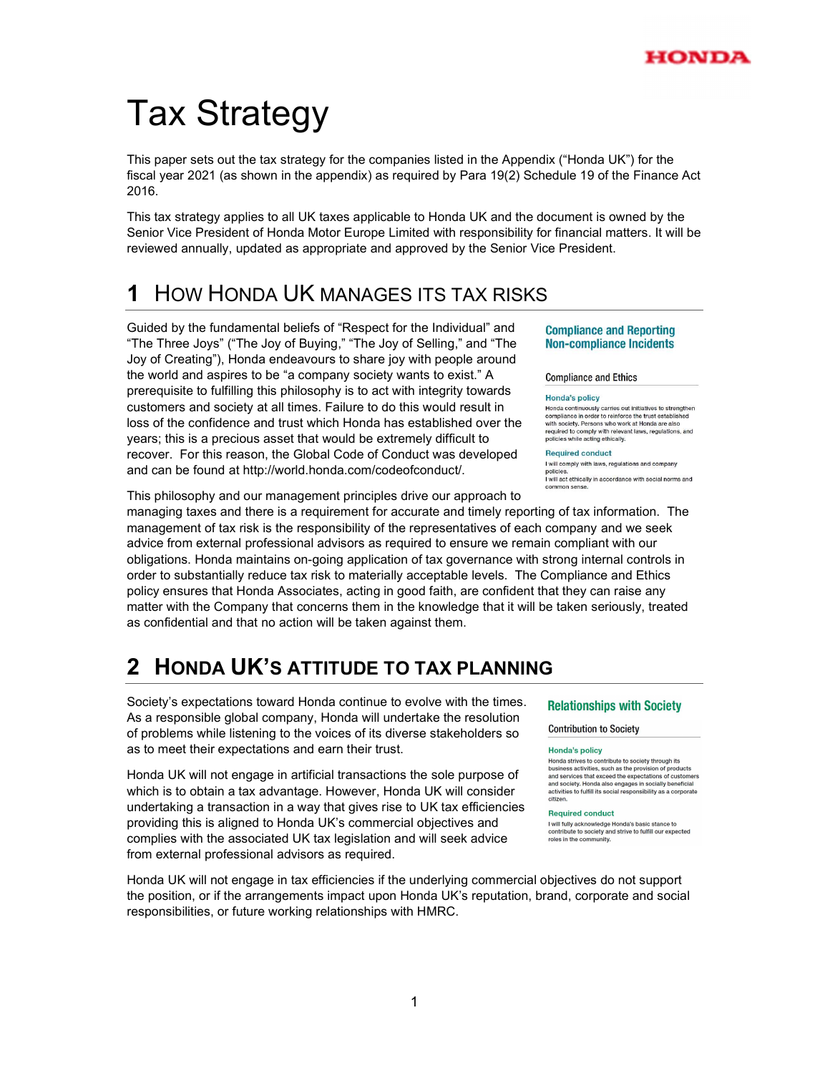

# Tax Strategy

This paper sets out the tax strategy for the companies listed in the Appendix ("Honda UK") for the fiscal year 2021 (as shown in the appendix) as required by Para 19(2) Schedule 19 of the Finance Act 2016.

This tax strategy applies to all UK taxes applicable to Honda UK and the document is owned by the Senior Vice President of Honda Motor Europe Limited with responsibility for financial matters. It will be reviewed annually, updated as appropriate and approved by the Senior Vice President.

### 1 HOW HONDA UK MANAGES ITS TAX RISKS

Guided by the fundamental beliefs of "Respect for the Individual" and "The Three Joys" ("The Joy of Buying," "The Joy of Selling," and "The Joy of Creating"), Honda endeavours to share joy with people around the world and aspires to be "a company society wants to exist." A prerequisite to fulfilling this philosophy is to act with integrity towards **Follogy** Honda's policy customers and society at all times. Failure to do this would result in loss of the confidence and trust which Honda has established over the subsequence in ouer to templod the trust estables years; this is a precious asset that would be extremely difficult to **recover.** For this reason, the Global Code of Conduct was developed<br>
I will comply with laws, regulations and company and can be found at http://world.honda.com/codeofconduct/.<br>and the polities. The politics of the procedure with social norms and the politics.

This philosophy and our management principles drive our approach to

managing taxes and there is a requirement for accurate and timely reporting of tax information. The management of tax risk is the responsibility of the representatives of each company and we seek advice from external professional advisors as required to ensure we remain compliant with our obligations. Honda maintains on-going application of tax governance with strong internal controls in order to substantially reduce tax risk to materially acceptable levels. The Compliance and Ethics policy ensures that Honda Associates, acting in good faith, are confident that they can raise any matter with the Company that concerns them in the knowledge that it will be taken seriously, treated as confidential and that no action will be taken against them.

### 2 HONDA UK'S ATTITUDE TO TAX PLANNING

Society's expectations toward Honda continue to evolve with the times. Relationships with Society As a responsible global company, Honda will undertake the resolution<br>of problems while listening to the voices of its diverse stakeholders so contribution to Society of problems while listening to the voices of its diverse stakeholders so as to meet their expectations and earn their trust.

Honda Strives to contribute to society through its<br>
Honda UK will not engage in artificial transactions the sole purpose of<br>
undestrives, such as the provision of products<br>
undestrives that exceed the expectations of custo Which is to obtain a tax advantage. However, Honda UK will consider activities to fulfill its social responsibility as a corporate undertaking a transaction in a way that gives rise to UK tax efficiencies  $\frac{1}{\text{Required conductor}}$ providing this is aligned to Honda UK's commercial objectives and complies with the associated UK tax legislation and will seek advice from external professional advisors as required.

Honda UK will not engage in tax efficiencies if the underlying commercial objectives do not support the position, or if the arrangements impact upon Honda UK's reputation, brand, corporate and social responsibilities, or future working relationships with HMRC.

### Honda's policy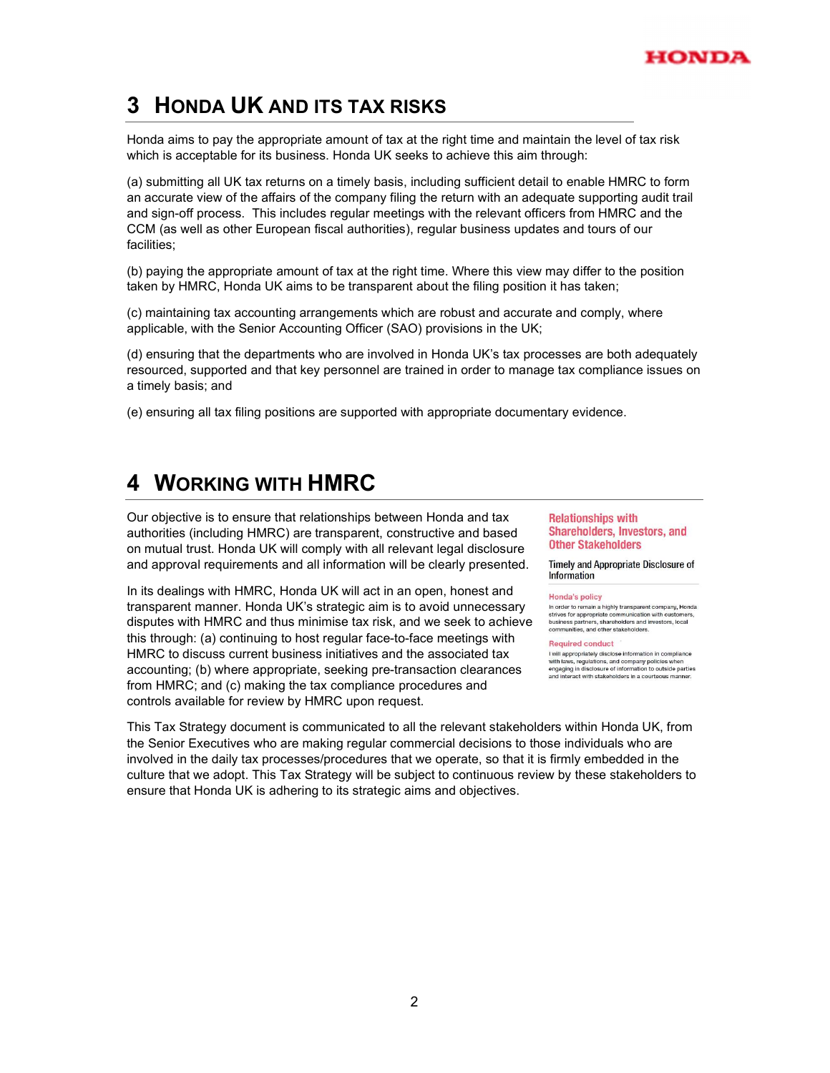

### 3 HONDA UK AND ITS TAX RISKS

Honda aims to pay the appropriate amount of tax at the right time and maintain the level of tax risk which is acceptable for its business. Honda UK seeks to achieve this aim through:

(a) submitting all UK tax returns on a timely basis, including sufficient detail to enable HMRC to form an accurate view of the affairs of the company filing the return with an adequate supporting audit trail and sign-off process. This includes regular meetings with the relevant officers from HMRC and the CCM (as well as other European fiscal authorities), regular business updates and tours of our facilities;

(b) paying the appropriate amount of tax at the right time. Where this view may differ to the position taken by HMRC, Honda UK aims to be transparent about the filing position it has taken;

(c) maintaining tax accounting arrangements which are robust and accurate and comply, where applicable, with the Senior Accounting Officer (SAO) provisions in the UK;

(d) ensuring that the departments who are involved in Honda UK's tax processes are both adequately resourced, supported and that key personnel are trained in order to manage tax compliance issues on a timely basis; and

(e) ensuring all tax filing positions are supported with appropriate documentary evidence.

### 4 WORKING WITH HMRC

Our objective is to ensure that relationships between Honda and tax authorities (including HMRC) are transparent, constructive and based **Shareholders, Investors, and Shareholders** on mutual trust. Honda UK will comply with all relevant legal disclosure and approval requirements and all information will be clearly presented.

In its dealings with HMRC, Honda UK will act in an open, honest and Honda's policy transparent manner. Honda UK's strategic aim is to avoid unnecessary and order to remain a highly transparent company, Honda<br>disputes with HMRC and thus minimise tax risk, and we seek to achieve business partners, sharehol disputes with HMRC and thus minimise tax risk, and we seek to achieve this through: (a) continuing to host regular face-to-face meetings with Required conduct HMRC to discuss current business initiatives and the associated tax<br>accounting; (b) where appropriate, seeking pre-transaction clearances<br>and interact with stakeholders in a courteous manner. accounting; (b) where appropriate, seeking pre-transaction clearances from HMRC; and (c) making the tax compliance procedures and controls available for review by HMRC upon request.

This Tax Strategy document is communicated to all the relevant stakeholders within Honda UK, from the Senior Executives who are making regular commercial decisions to those individuals who are involved in the daily tax processes/procedures that we operate, so that it is firmly embedded in the culture that we adopt. This Tax Strategy will be subject to continuous review by these stakeholders to ensure that Honda UK is adhering to its strategic aims and objectives.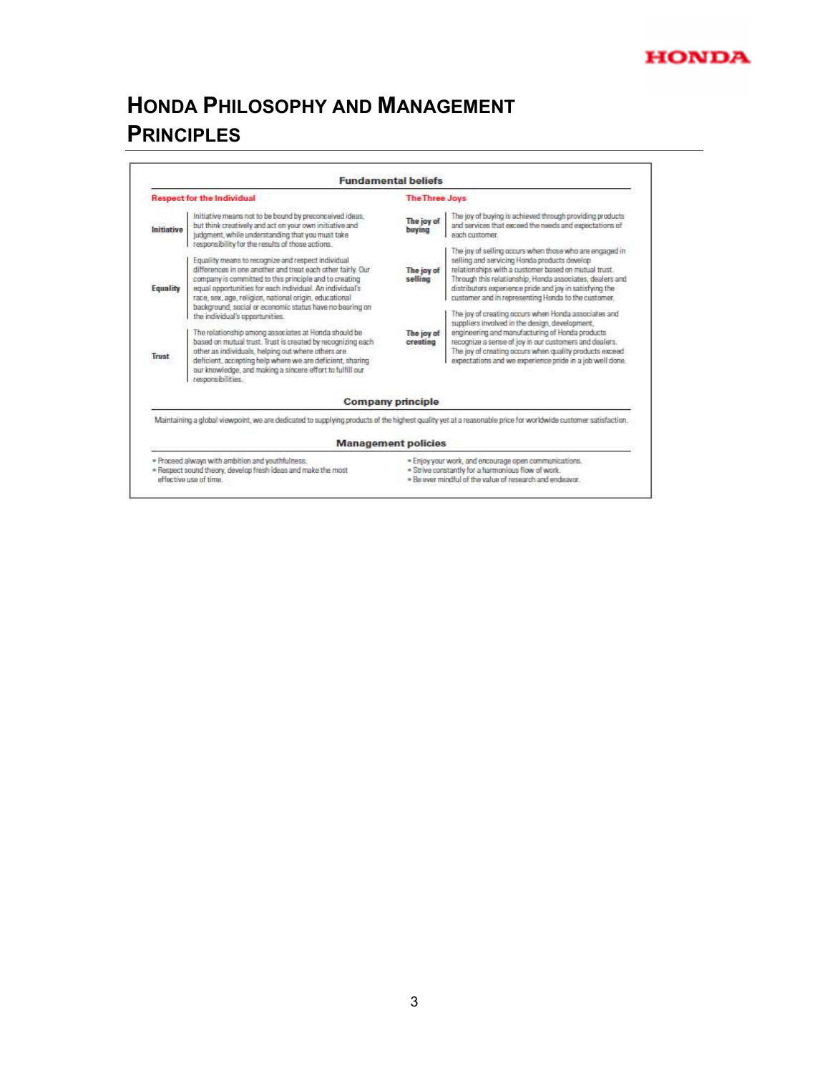### HONDA PHILOSOPHY AND MANAGEMENT **PRINCIPLES**

| <b>Respect for the Individual</b>                                                                                                           |                                                                                                                                                                                                                                                                                                                                                                                                  | <b>The Three Joys</b>                                                                                                                                                   |                                                                                                                                                                                                                                                                                                                                                                                              |
|---------------------------------------------------------------------------------------------------------------------------------------------|--------------------------------------------------------------------------------------------------------------------------------------------------------------------------------------------------------------------------------------------------------------------------------------------------------------------------------------------------------------------------------------------------|-------------------------------------------------------------------------------------------------------------------------------------------------------------------------|----------------------------------------------------------------------------------------------------------------------------------------------------------------------------------------------------------------------------------------------------------------------------------------------------------------------------------------------------------------------------------------------|
| Initiative                                                                                                                                  | Initiative means not to be bound by preconceived ideas;<br>but think creatively and act on your own initiative and<br>judgment, while understanding that you must take<br>responsibility for the results of those actions.                                                                                                                                                                       | The joy of<br>buying                                                                                                                                                    | The joy of buying is achieved through providing products<br>and services that exceed the needs and expectations of<br>each customer.<br>The joy of selling occurs when those who are engaged in                                                                                                                                                                                              |
| Equality                                                                                                                                    | Equality means to recognize and respect individual<br>differences in one another and treat each other fairly. Our<br>company is committed to this principle and to creating<br>equal opportunities for each individual. An individual's<br>race, sex, age, religion, national origin, educational<br>background, social or economic status have no bearing on<br>the individual's opportunities. | The joy of<br>selling                                                                                                                                                   | selling and servicing Honda products develop<br>relationships with a customer based on mutual trust.<br>Through this relationship, Honda associates, dealers and<br>distributors experience pride and joy in satisfying the<br>customer and in representing Honda to the customer.<br>The joy of creating occurs when Honda associates and<br>suppliers involved in the design, development, |
| Trust                                                                                                                                       | The relationship among associates at Honda should be<br>based on mutual trust. Trust is created by recognizing each<br>other as individuals, helping out where others are<br>deficient, accepting help where we are deficient, sharing<br>our knowledge, and making a sincere effort to fulfill our<br>responsibilities.                                                                         | The joy of<br>creating                                                                                                                                                  | engineering and manufacturing of Honda products<br>recognize a sense of joy in our customers and dealers.<br>The joy of creating occurs when quality products exceed<br>expectations and we experience pride in a job well done.                                                                                                                                                             |
|                                                                                                                                             |                                                                                                                                                                                                                                                                                                                                                                                                  | Company principle                                                                                                                                                       |                                                                                                                                                                                                                                                                                                                                                                                              |
|                                                                                                                                             | Maintaining a global viewpoint, we are dedicated to supplying products of the highest quality yet at a reasonable price for worldwide customer satisfaction.                                                                                                                                                                                                                                     | <b>Management policies</b>                                                                                                                                              |                                                                                                                                                                                                                                                                                                                                                                                              |
|                                                                                                                                             |                                                                                                                                                                                                                                                                                                                                                                                                  |                                                                                                                                                                         |                                                                                                                                                                                                                                                                                                                                                                                              |
| . Proceed always with ambition and youthfulness.<br>. Respect sound theory, develop fresh ideas and make the most<br>effective use of time. |                                                                                                                                                                                                                                                                                                                                                                                                  | · Enjoy your work, and encourage open communications.<br>. Strive constantly for a harmonious flow of work.<br>. Be ever mindful of the value of research and endeavor. |                                                                                                                                                                                                                                                                                                                                                                                              |